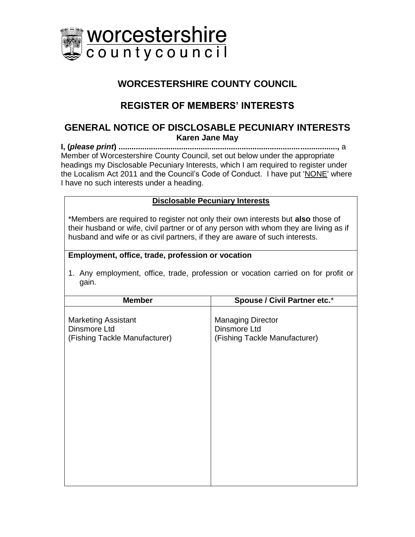

## **WORCESTERSHIRE COUNTY COUNCIL**

# **REGISTER OF MEMBERS' INTERESTS**

### **GENERAL NOTICE OF DISCLOSABLE PECUNIARY INTERESTS Karen Jane May**

**I, (***please print***) .....................................................................................................,** a Member of Worcestershire County Council, set out below under the appropriate headings my Disclosable Pecuniary Interests, which I am required to register under the Localism Act 2011 and the Council's Code of Conduct. I have put 'NONE' where I have no such interests under a heading.

#### **Disclosable Pecuniary Interests**

\*Members are required to register not only their own interests but **also** those of their husband or wife, civil partner or of any person with whom they are living as if husband and wife or as civil partners, if they are aware of such interests.

#### **Employment, office, trade, profession or vocation**

1. Any employment, office, trade, profession or vocation carried on for profit or gain.

| <b>Member</b>                                                               | <b>Spouse / Civil Partner etc.*</b>                                       |
|-----------------------------------------------------------------------------|---------------------------------------------------------------------------|
| <b>Marketing Assistant</b><br>Dinsmore Ltd<br>(Fishing Tackle Manufacturer) | <b>Managing Director</b><br>Dinsmore Ltd<br>(Fishing Tackle Manufacturer) |
|                                                                             |                                                                           |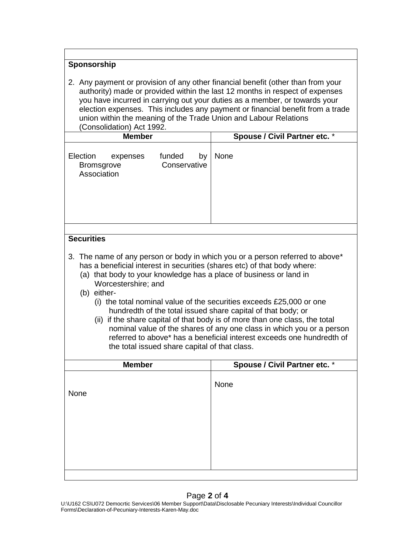#### **Sponsorship**

2. Any payment or provision of any other financial benefit (other than from your authority) made or provided within the last 12 months in respect of expenses you have incurred in carrying out your duties as a member, or towards your election expenses. This includes any payment or financial benefit from a trade union within the meaning of the Trade Union and Labour Relations (Consolidation) Act 1992.

| <b>Member</b>                                                                                                                                                                                                                                                                                                                                                                                                                                                                                                                                                                                                                                                                                   | <b>Spouse / Civil Partner etc. *</b> |  |
|-------------------------------------------------------------------------------------------------------------------------------------------------------------------------------------------------------------------------------------------------------------------------------------------------------------------------------------------------------------------------------------------------------------------------------------------------------------------------------------------------------------------------------------------------------------------------------------------------------------------------------------------------------------------------------------------------|--------------------------------------|--|
| Election<br>funded<br>by<br>expenses<br>Conservative<br><b>Bromsgrove</b><br>Association                                                                                                                                                                                                                                                                                                                                                                                                                                                                                                                                                                                                        | None                                 |  |
|                                                                                                                                                                                                                                                                                                                                                                                                                                                                                                                                                                                                                                                                                                 |                                      |  |
| <b>Securities</b>                                                                                                                                                                                                                                                                                                                                                                                                                                                                                                                                                                                                                                                                               |                                      |  |
| 3. The name of any person or body in which you or a person referred to above*<br>has a beneficial interest in securities (shares etc) of that body where:<br>(a) that body to your knowledge has a place of business or land in<br>Worcestershire; and<br>(b) either-<br>(i) the total nominal value of the securities exceeds £25,000 or one<br>hundredth of the total issued share capital of that body; or<br>(ii) if the share capital of that body is of more than one class, the total<br>nominal value of the shares of any one class in which you or a person<br>referred to above* has a beneficial interest exceeds one hundredth of<br>the total issued share capital of that class. |                                      |  |
| <b>Member</b>                                                                                                                                                                                                                                                                                                                                                                                                                                                                                                                                                                                                                                                                                   | Spouse / Civil Partner etc. *        |  |
| None                                                                                                                                                                                                                                                                                                                                                                                                                                                                                                                                                                                                                                                                                            | None                                 |  |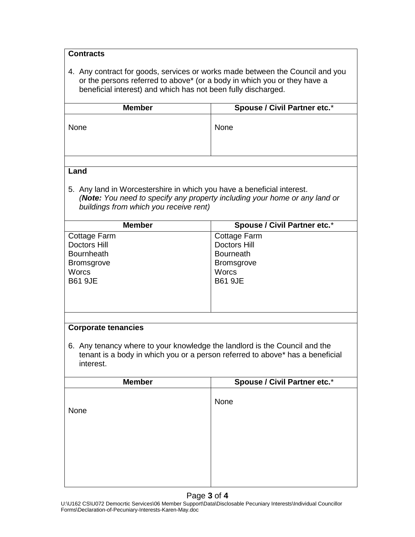| <b>Contracts</b>                                                                                                                          |                                                                               |  |
|-------------------------------------------------------------------------------------------------------------------------------------------|-------------------------------------------------------------------------------|--|
|                                                                                                                                           |                                                                               |  |
| 4. Any contract for goods, services or works made between the Council and you                                                             |                                                                               |  |
| or the persons referred to above* (or a body in which you or they have a<br>beneficial interest) and which has not been fully discharged. |                                                                               |  |
|                                                                                                                                           |                                                                               |  |
| <b>Member</b>                                                                                                                             | Spouse / Civil Partner etc.*                                                  |  |
| None                                                                                                                                      | None                                                                          |  |
|                                                                                                                                           |                                                                               |  |
|                                                                                                                                           |                                                                               |  |
|                                                                                                                                           |                                                                               |  |
| Land                                                                                                                                      |                                                                               |  |
| 5. Any land in Worcestershire in which you have a beneficial interest.                                                                    |                                                                               |  |
|                                                                                                                                           | (Note: You need to specify any property including your home or any land or    |  |
| buildings from which you receive rent)                                                                                                    |                                                                               |  |
| <b>Member</b>                                                                                                                             | <b>Spouse / Civil Partner etc.*</b>                                           |  |
| <b>Cottage Farm</b>                                                                                                                       | Cottage Farm                                                                  |  |
| <b>Doctors Hill</b>                                                                                                                       | <b>Doctors Hill</b>                                                           |  |
| <b>Bournheath</b>                                                                                                                         | <b>Bourneath</b>                                                              |  |
| <b>Bromsgrove</b>                                                                                                                         | <b>Bromsgrove</b>                                                             |  |
| <b>Worcs</b><br><b>B61 9JE</b>                                                                                                            | <b>Worcs</b><br><b>B61 9JE</b>                                                |  |
|                                                                                                                                           |                                                                               |  |
|                                                                                                                                           |                                                                               |  |
|                                                                                                                                           |                                                                               |  |
| <b>Corporate tenancies</b>                                                                                                                |                                                                               |  |
|                                                                                                                                           |                                                                               |  |
| 6. Any tenancy where to your knowledge the landlord is the Council and the                                                                |                                                                               |  |
|                                                                                                                                           | tenant is a body in which you or a person referred to above* has a beneficial |  |
| interest.                                                                                                                                 |                                                                               |  |
| <b>Member</b>                                                                                                                             | <b>Spouse / Civil Partner etc.*</b>                                           |  |
|                                                                                                                                           |                                                                               |  |
| None                                                                                                                                      | None                                                                          |  |
|                                                                                                                                           |                                                                               |  |
|                                                                                                                                           |                                                                               |  |
|                                                                                                                                           |                                                                               |  |
|                                                                                                                                           |                                                                               |  |
|                                                                                                                                           |                                                                               |  |
|                                                                                                                                           |                                                                               |  |
|                                                                                                                                           |                                                                               |  |
| Page 3 of 4                                                                                                                               |                                                                               |  |